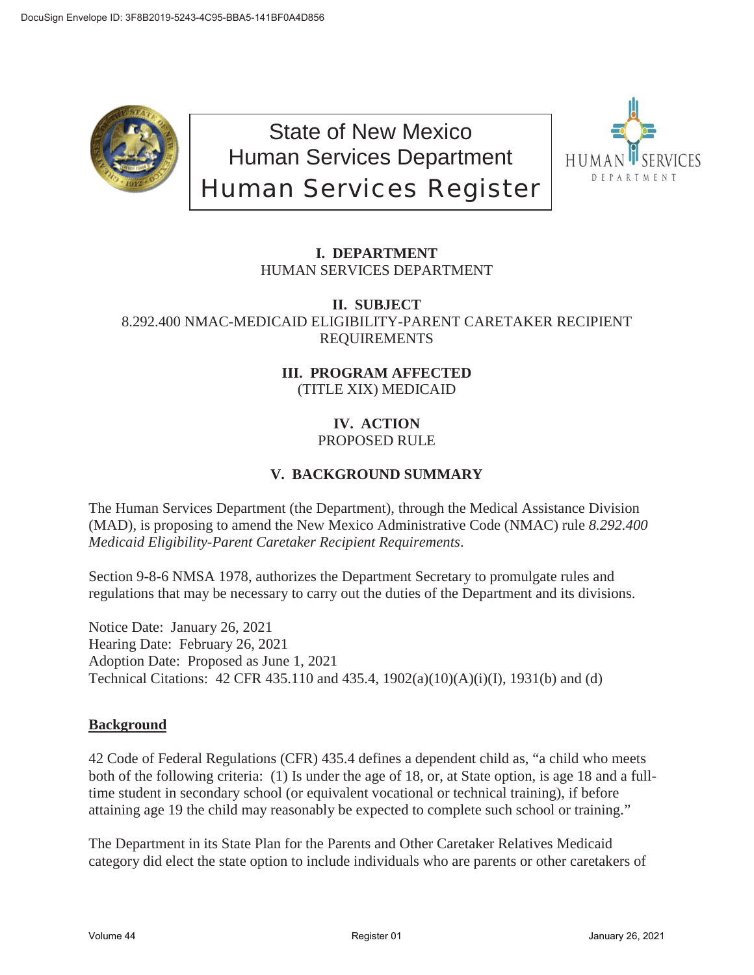

State of New Mexico Human Services Department Human Services Register



## **I. DEPARTMENT** HUMAN SERVICES DEPARTMENT

**II. SUBJECT** 8.292.400 NMAC-MEDICAID ELIGIBILITY-PARENT CARETAKER RECIPIENT REQUIREMENTS

### **III. PROGRAM AFFECTED** (TITLE XIX) MEDICAID

#### **IV. ACTION** PROPOSED RULE

# **V. BACKGROUND SUMMARY**

The Human Services Department (the Department), through the Medical Assistance Division (MAD), is proposing to amend the New Mexico Administrative Code (NMAC) rule *8.292.400 Medicaid Eligibility-Parent Caretaker Recipient Requirements*.

Section 9-8-6 NMSA 1978, authorizes the Department Secretary to promulgate rules and regulations that may be necessary to carry out the duties of the Department and its divisions.

Notice Date: January 26, 2021 Hearing Date: February 26, 2021 Adoption Date: Proposed as June 1, 2021 Technical Citations: 42 CFR 435.110 and 435.4, 1902(a)(10)(A)(i)(I), 1931(b) and (d)

### **Background**

42 Code of Federal Regulations (CFR) 435.4 defines a dependent child as, "a child who meets both of the following criteria: (1) Is under the age of 18, or, at State option, is age 18 and a fulltime student in secondary school (or equivalent vocational or technical training), if before attaining age 19 the child may reasonably be expected to complete such school or training."

The Department in its State Plan for the Parents and Other Caretaker Relatives Medicaid category did elect the state option to include individuals who are parents or other caretakers of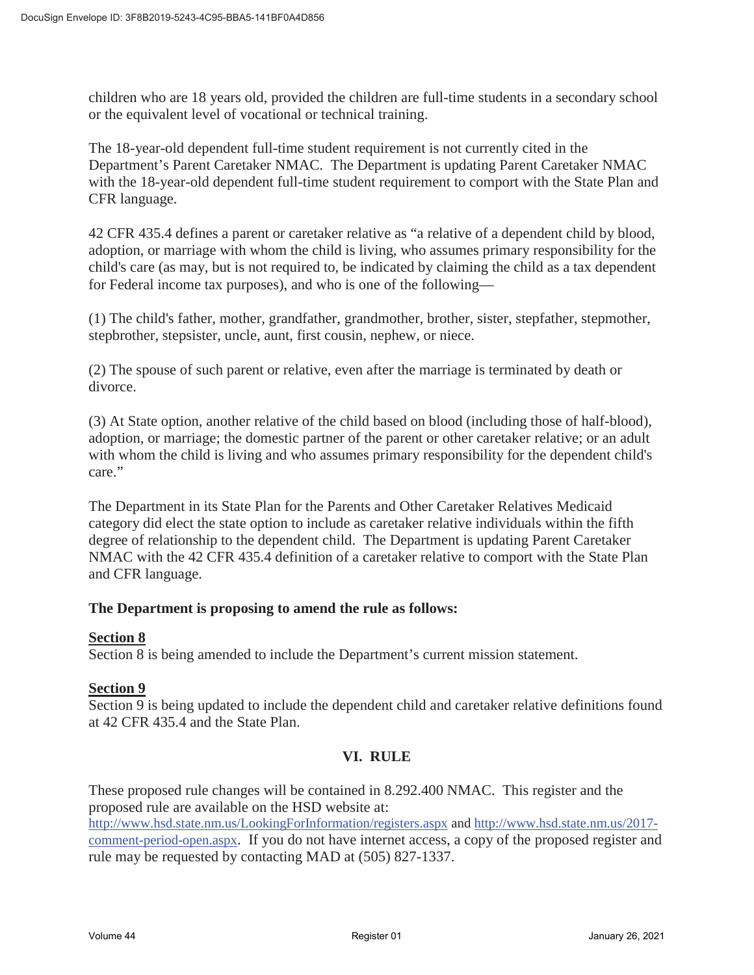children who are 18 years old, provided the children are full-time students in a secondary school or the equivalent level of vocational or technical training.

The 18-year-old dependent full-time student requirement is not currently cited in the Department's Parent Caretaker NMAC. The Department is updating Parent Caretaker NMAC with the 18-year-old dependent full-time student requirement to comport with the State Plan and CFR language.

42 CFR 435.4 defines a parent or caretaker relative as "a relative of a dependent child by blood, adoption, or marriage with whom the child is living, who assumes primary responsibility for the child's care (as may, but is not required to, be indicated by claiming the child as a tax dependent for Federal income tax purposes), and who is one of the following—

(1) The child's father, mother, grandfather, grandmother, brother, sister, stepfather, stepmother, stepbrother, stepsister, uncle, aunt, first cousin, nephew, or niece.

(2) The spouse of such parent or relative, even after the marriage is terminated by death or divorce.

(3) At State option, another relative of the child based on blood (including those of half-blood), adoption, or marriage; the domestic partner of the parent or other caretaker relative; or an adult with whom the child is living and who assumes primary responsibility for the dependent child's care."

The Department in its State Plan for the Parents and Other Caretaker Relatives Medicaid category did elect the state option to include as caretaker relative individuals within the fifth degree of relationship to the dependent child. The Department is updating Parent Caretaker NMAC with the 42 CFR 435.4 definition of a caretaker relative to comport with the State Plan and CFR language.

### **The Department is proposing to amend the rule as follows:**

### **Section 8**

Section 8 is being amended to include the Department's current mission statement.

### **Section 9**

Section 9 is being updated to include the dependent child and caretaker relative definitions found at 42 CFR 435.4 and the State Plan.

### **VI. RULE**

These proposed rule changes will be contained in 8.292.400 NMAC. This register and the proposed rule are available on the HSD website at:

http://www.hsd.state.nm.us/LookingForInformation/registers.aspx and http://www.hsd.state.nm.us/2017 comment-period-open.aspx. If you do not have internet access, a copy of the proposed register and rule may be requested by contacting MAD at (505) 827-1337.